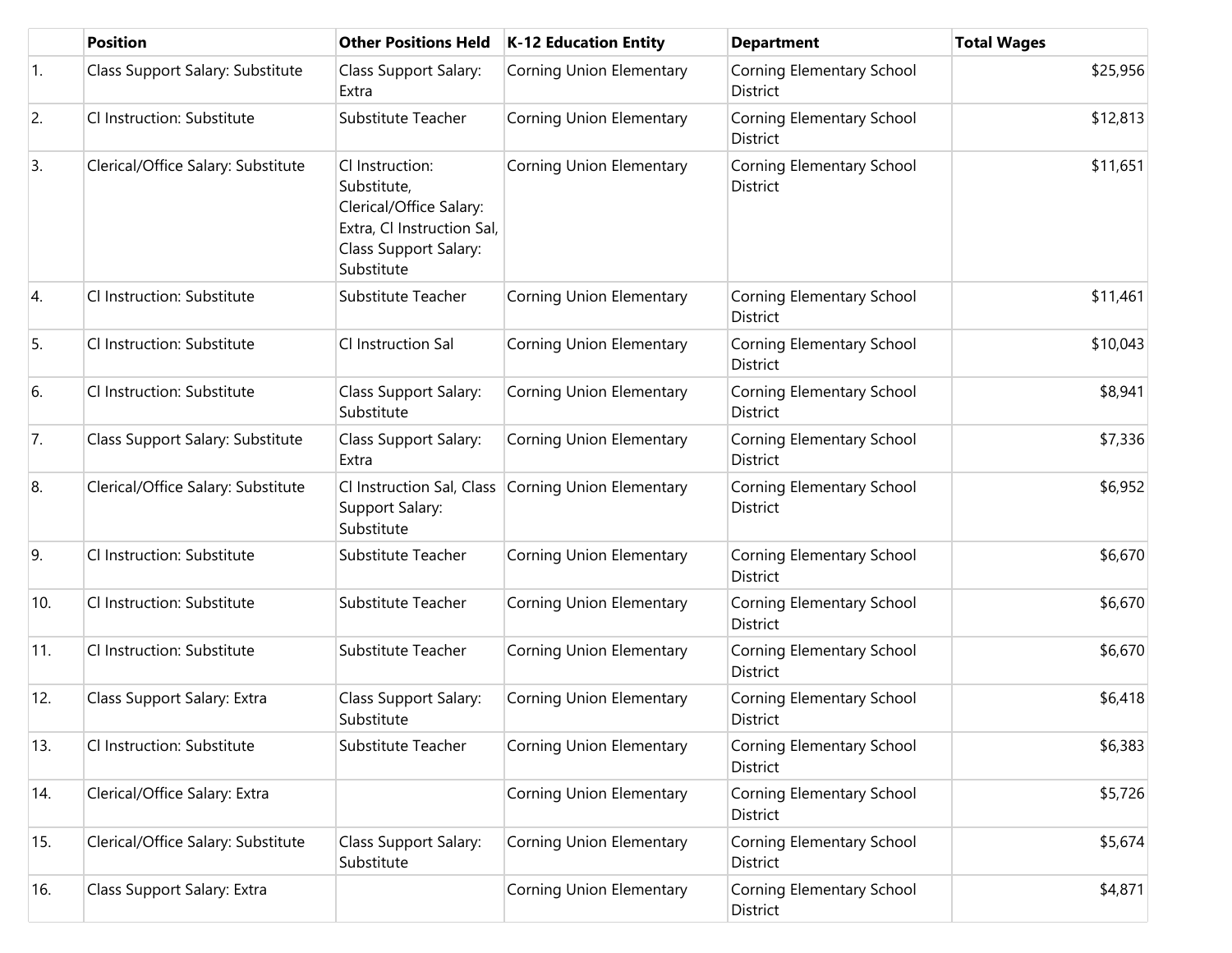|            | <b>Position</b>                    | <b>Other Positions Held</b>                                                                                                    | <b>K-12 Education Entity</b>                       | <b>Department</b>                            | <b>Total Wages</b> |
|------------|------------------------------------|--------------------------------------------------------------------------------------------------------------------------------|----------------------------------------------------|----------------------------------------------|--------------------|
| $\vert$ 1. | Class Support Salary: Substitute   | Class Support Salary:<br>Extra                                                                                                 | <b>Corning Union Elementary</b>                    | Corning Elementary School<br>District        | \$25,956           |
| 2.         | Cl Instruction: Substitute         | Substitute Teacher                                                                                                             | <b>Corning Union Elementary</b>                    | Corning Elementary School<br>District        | \$12,813           |
| 3.         | Clerical/Office Salary: Substitute | Cl Instruction:<br>Substitute,<br>Clerical/Office Salary:<br>Extra, Cl Instruction Sal,<br>Class Support Salary:<br>Substitute | Corning Union Elementary                           | Corning Elementary School<br>District        | \$11,651           |
| 4.         | Cl Instruction: Substitute         | Substitute Teacher                                                                                                             | <b>Corning Union Elementary</b>                    | Corning Elementary School<br>District        | \$11,461           |
| 5.         | Cl Instruction: Substitute         | Cl Instruction Sal                                                                                                             | <b>Corning Union Elementary</b>                    | Corning Elementary School<br><b>District</b> | \$10,043           |
| 6.         | Cl Instruction: Substitute         | Class Support Salary:<br>Substitute                                                                                            | <b>Corning Union Elementary</b>                    | Corning Elementary School<br>District        | \$8,941            |
| 7.         | Class Support Salary: Substitute   | Class Support Salary:<br>Extra                                                                                                 | <b>Corning Union Elementary</b>                    | Corning Elementary School<br><b>District</b> | \$7,336            |
| 8.         | Clerical/Office Salary: Substitute | Support Salary:<br>Substitute                                                                                                  | Cl Instruction Sal, Class Corning Union Elementary | Corning Elementary School<br>District        | \$6,952            |
| 9.         | Cl Instruction: Substitute         | Substitute Teacher                                                                                                             | <b>Corning Union Elementary</b>                    | Corning Elementary School<br>District        | \$6,670            |
| 10.        | CI Instruction: Substitute         | Substitute Teacher                                                                                                             | <b>Corning Union Elementary</b>                    | Corning Elementary School<br>District        | \$6,670            |
| 11.        | Cl Instruction: Substitute         | Substitute Teacher                                                                                                             | <b>Corning Union Elementary</b>                    | <b>Corning Elementary School</b><br>District | \$6,670            |
| 12.        | Class Support Salary: Extra        | Class Support Salary:<br>Substitute                                                                                            | <b>Corning Union Elementary</b>                    | Corning Elementary School<br>District        | \$6,418            |
| 13.        | Cl Instruction: Substitute         | Substitute Teacher                                                                                                             | <b>Corning Union Elementary</b>                    | Corning Elementary School<br>District        | \$6,383            |
| 14.        | Clerical/Office Salary: Extra      |                                                                                                                                | Corning Union Elementary                           | Corning Elementary School<br>District        | \$5,726            |
| 15.        | Clerical/Office Salary: Substitute | Class Support Salary:<br>Substitute                                                                                            | Corning Union Elementary                           | Corning Elementary School<br>District        | \$5,674            |
| 16.        | Class Support Salary: Extra        |                                                                                                                                | <b>Corning Union Elementary</b>                    | Corning Elementary School<br>District        | \$4,871            |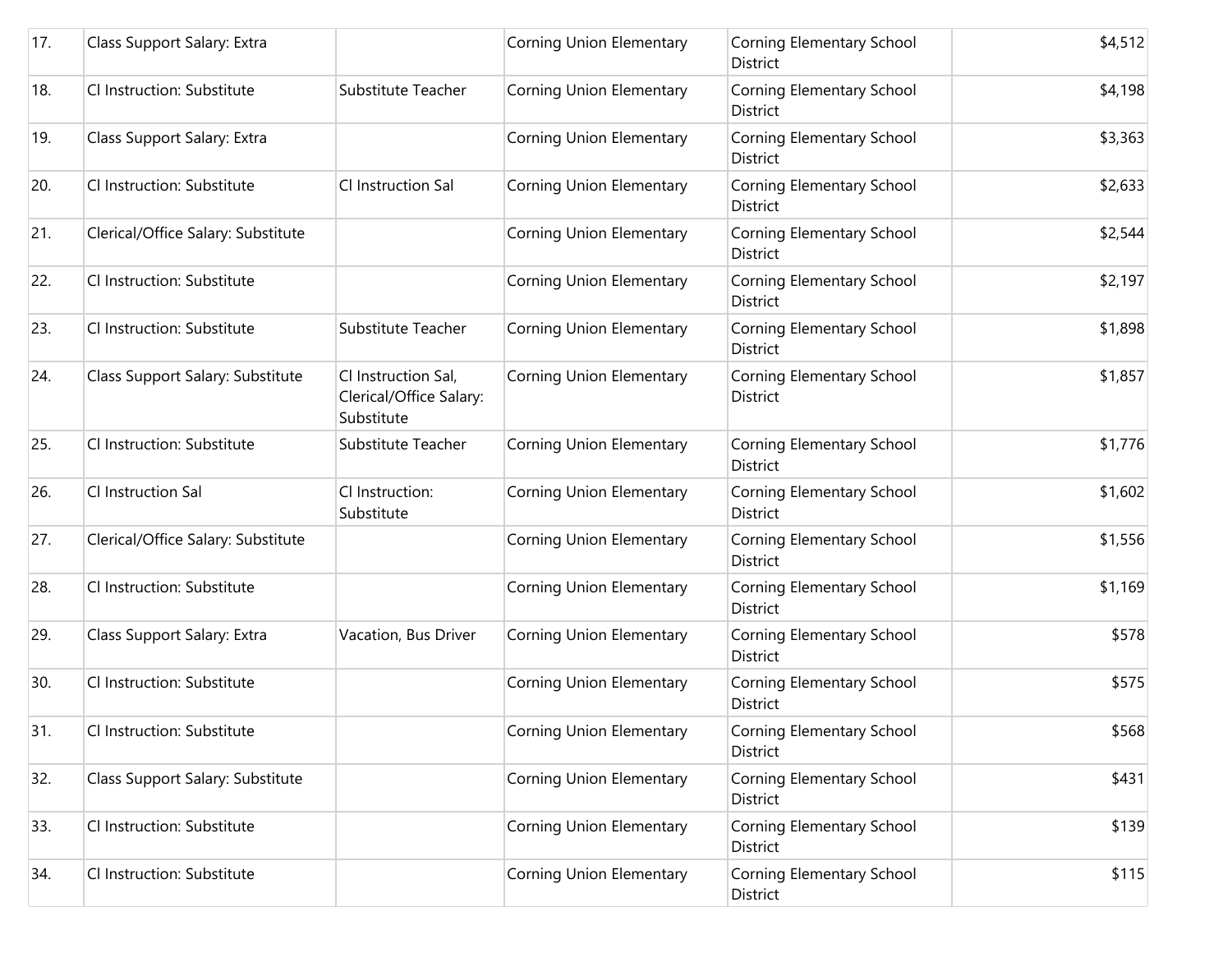| 17. | Class Support Salary: Extra        |                                                              | <b>Corning Union Elementary</b> | Corning Elementary School<br>District | \$4,512 |
|-----|------------------------------------|--------------------------------------------------------------|---------------------------------|---------------------------------------|---------|
| 18. | Cl Instruction: Substitute         | Substitute Teacher                                           | Corning Union Elementary        | Corning Elementary School<br>District | \$4,198 |
| 19. | Class Support Salary: Extra        |                                                              | Corning Union Elementary        | Corning Elementary School<br>District | \$3,363 |
| 20. | Cl Instruction: Substitute         | Cl Instruction Sal                                           | Corning Union Elementary        | Corning Elementary School<br>District | \$2,633 |
| 21. | Clerical/Office Salary: Substitute |                                                              | <b>Corning Union Elementary</b> | Corning Elementary School<br>District | \$2,544 |
| 22. | Cl Instruction: Substitute         |                                                              | Corning Union Elementary        | Corning Elementary School<br>District | \$2,197 |
| 23. | Cl Instruction: Substitute         | Substitute Teacher                                           | Corning Union Elementary        | Corning Elementary School<br>District | \$1,898 |
| 24. | Class Support Salary: Substitute   | Cl Instruction Sal,<br>Clerical/Office Salary:<br>Substitute | Corning Union Elementary        | Corning Elementary School<br>District | \$1,857 |
| 25. | Cl Instruction: Substitute         | Substitute Teacher                                           | Corning Union Elementary        | Corning Elementary School<br>District | \$1,776 |
| 26. | Cl Instruction Sal                 | Cl Instruction:<br>Substitute                                | Corning Union Elementary        | Corning Elementary School<br>District | \$1,602 |
| 27. | Clerical/Office Salary: Substitute |                                                              | Corning Union Elementary        | Corning Elementary School<br>District | \$1,556 |
| 28. | Cl Instruction: Substitute         |                                                              | Corning Union Elementary        | Corning Elementary School<br>District | \$1,169 |
| 29. | Class Support Salary: Extra        | Vacation, Bus Driver                                         | Corning Union Elementary        | Corning Elementary School<br>District | \$578   |
| 30. | Cl Instruction: Substitute         |                                                              | Corning Union Elementary        | Corning Elementary School<br>District | \$575   |
| 31. | Cl Instruction: Substitute         |                                                              | <b>Corning Union Elementary</b> | Corning Elementary School<br>District | \$568   |
| 32. | Class Support Salary: Substitute   |                                                              | Corning Union Elementary        | Corning Elementary School<br>District | \$431   |
| 33. | Cl Instruction: Substitute         |                                                              | Corning Union Elementary        | Corning Elementary School<br>District | \$139   |
| 34. | Cl Instruction: Substitute         |                                                              | Corning Union Elementary        | Corning Elementary School<br>District | \$115   |